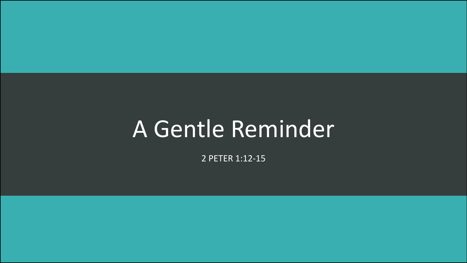## A Gentle Reminder

2 PETER 1:12-15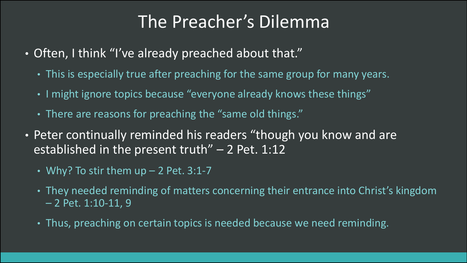## The Preacher's Dilemma

- Often, I think "I've already preached about that."
	- This is especially true after preaching for the same group for many years.
	- I might ignore topics because "everyone already knows these things"
	- There are reasons for preaching the "same old things."
- Peter continually reminded his readers "though you know and are established in the present truth" - 2 Pet. 1:12
	- Why? To stir them  $up 2$  Pet. 3:1-7
	- They needed reminding of matters concerning their entrance into Christ's kingdom – 2 Pet. 1:10-11, 9
	- Thus, preaching on certain topics is needed because we need reminding.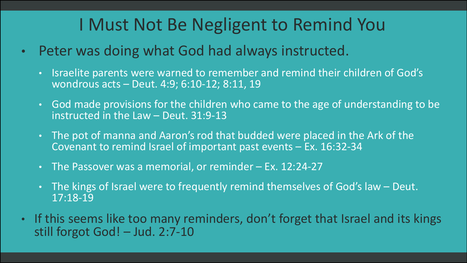## I Must Not Be Negligent to Remind You

- Peter was doing what God had always instructed.
	- Israelite parents were warned to remember and remind their children of God's wondrous acts – Deut. 4:9; 6:10-12; 8:11, 19
	- God made provisions for the children who came to the age of understanding to be instructed in the Law – Deut. 31:9-13
	- The pot of manna and Aaron's rod that budded were placed in the Ark of the Covenant to remind Israel of important past events – Ex. 16:32-34
	- The Passover was a memorial, or reminder Ex. 12:24-27
	- The kings of Israel were to frequently remind themselves of God's law Deut. 17:18-19
- If this seems like too many reminders, don't forget that Israel and its kings still forgot God! – Jud. 2:7-10